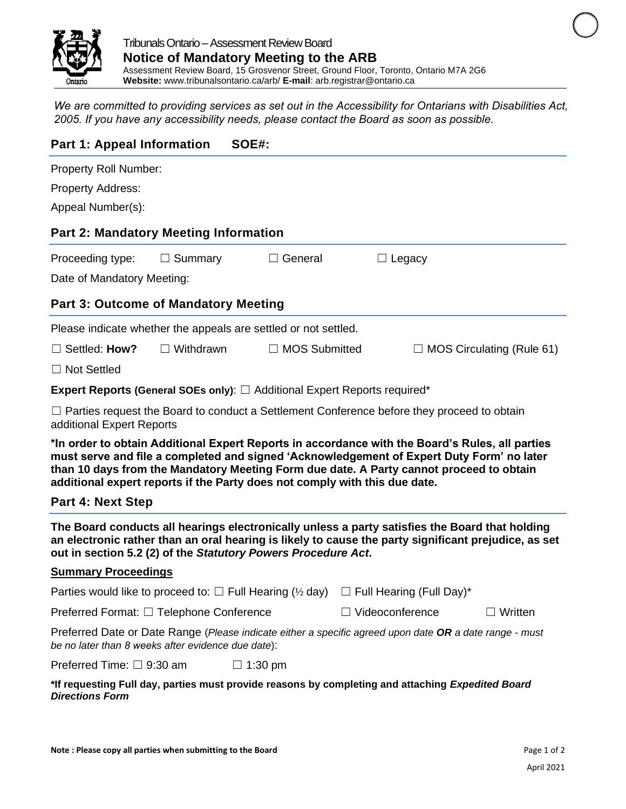

*We are committed to providing services as set out in the Accessibility for Ontarians with Disabilities Act, 2005. If you have any accessibility needs, please contact the Board as soon as possible.*

| <b>Part 1: Appeal Information</b><br>SOE#:                                                                                                                                                                                                                                                                                                                            |                  |                                                                                       |                                                                                                 |                                  |  |  |  |  |  |  |
|-----------------------------------------------------------------------------------------------------------------------------------------------------------------------------------------------------------------------------------------------------------------------------------------------------------------------------------------------------------------------|------------------|---------------------------------------------------------------------------------------|-------------------------------------------------------------------------------------------------|----------------------------------|--|--|--|--|--|--|
| Property Roll Number:<br><b>Property Address:</b><br>Appeal Number(s):                                                                                                                                                                                                                                                                                                |                  |                                                                                       |                                                                                                 |                                  |  |  |  |  |  |  |
| <b>Part 2: Mandatory Meeting Information</b>                                                                                                                                                                                                                                                                                                                          |                  |                                                                                       |                                                                                                 |                                  |  |  |  |  |  |  |
| Proceeding type:<br>Date of Mandatory Meeting:                                                                                                                                                                                                                                                                                                                        | $\Box$ Summary   | $\Box$ General                                                                        | $\Box$ Legacy                                                                                   |                                  |  |  |  |  |  |  |
| <b>Part 3: Outcome of Mandatory Meeting</b>                                                                                                                                                                                                                                                                                                                           |                  |                                                                                       |                                                                                                 |                                  |  |  |  |  |  |  |
| Please indicate whether the appeals are settled or not settled.                                                                                                                                                                                                                                                                                                       |                  |                                                                                       |                                                                                                 |                                  |  |  |  |  |  |  |
| $\Box$ Settled: How?                                                                                                                                                                                                                                                                                                                                                  | $\Box$ Withdrawn | $\Box$ MOS Submitted                                                                  |                                                                                                 | $\Box$ MOS Circulating (Rule 61) |  |  |  |  |  |  |
| $\Box$ Not Settled                                                                                                                                                                                                                                                                                                                                                    |                  |                                                                                       |                                                                                                 |                                  |  |  |  |  |  |  |
|                                                                                                                                                                                                                                                                                                                                                                       |                  | <b>Expert Reports (General SOEs only):</b> $\Box$ Additional Expert Reports required* |                                                                                                 |                                  |  |  |  |  |  |  |
| $\Box$ Parties request the Board to conduct a Settlement Conference before they proceed to obtain<br>additional Expert Reports                                                                                                                                                                                                                                        |                  |                                                                                       |                                                                                                 |                                  |  |  |  |  |  |  |
| *In order to obtain Additional Expert Reports in accordance with the Board's Rules, all parties<br>must serve and file a completed and signed 'Acknowledgement of Expert Duty Form' no later<br>than 10 days from the Mandatory Meeting Form due date. A Party cannot proceed to obtain<br>additional expert reports if the Party does not comply with this due date. |                  |                                                                                       |                                                                                                 |                                  |  |  |  |  |  |  |
| <b>Part 4: Next Step</b>                                                                                                                                                                                                                                                                                                                                              |                  |                                                                                       |                                                                                                 |                                  |  |  |  |  |  |  |
| The Board conducts all hearings electronically unless a party satisfies the Board that holding<br>an electronic rather than an oral hearing is likely to cause the party significant prejudice, as set<br>out in section 5.2 (2) of the Statutory Powers Procedure Act.                                                                                               |                  |                                                                                       |                                                                                                 |                                  |  |  |  |  |  |  |
| <b>Summary Proceedings</b>                                                                                                                                                                                                                                                                                                                                            |                  |                                                                                       |                                                                                                 |                                  |  |  |  |  |  |  |
|                                                                                                                                                                                                                                                                                                                                                                       |                  |                                                                                       | Parties would like to proceed to: $\Box$ Full Hearing (1/2 day) $\Box$ Full Hearing (Full Day)* |                                  |  |  |  |  |  |  |
| Preferred Format: □ Telephone Conference                                                                                                                                                                                                                                                                                                                              |                  |                                                                                       | $\Box$ Videoconference                                                                          | $\Box$ Written                   |  |  |  |  |  |  |
| Preferred Date or Date Range (Please indicate either a specific agreed upon date OR a date range - must<br>be no later than 8 weeks after evidence due date):                                                                                                                                                                                                         |                  |                                                                                       |                                                                                                 |                                  |  |  |  |  |  |  |
| Preferred Time: $\Box$ 9:30 am                                                                                                                                                                                                                                                                                                                                        |                  | $\Box$ 1:30 pm                                                                        |                                                                                                 |                                  |  |  |  |  |  |  |
| *If requesting Full day, parties must provide reasons by completing and attaching Expedited Board<br><b>Directions Form</b>                                                                                                                                                                                                                                           |                  |                                                                                       |                                                                                                 |                                  |  |  |  |  |  |  |